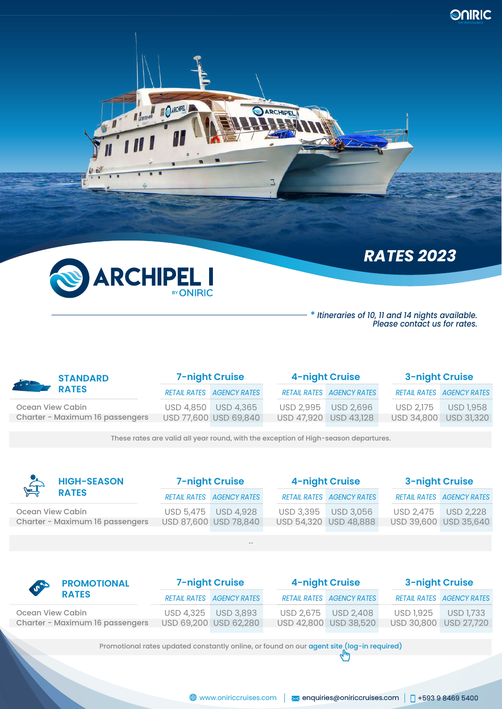



N distriction OARCHPELL

# **\*** *Itineraries of 10, 11 and 14 nights available.*

*Please contact us for rates.*

*RATES 2023*

| STANDARD         |                                 | <b>7-night Cruise</b> |                                  | 4-night Cruise                   | <b>3-night Cruise</b> |                                  |  |
|------------------|---------------------------------|-----------------------|----------------------------------|----------------------------------|-----------------------|----------------------------------|--|
|                  |                                 |                       | <b>RETAIL RATES AGENCY RATES</b> | <b>RETAIL RATES AGENCY RATES</b> |                       | <b>RETAIL RATES AGENCY RATES</b> |  |
| Ocean View Cabin |                                 |                       | USD 4,850 USD 4,365              | USD 2,995 USD 2,696              | <b>USD 2.175</b>      | <b>USD 1.958</b>                 |  |
|                  | Charter - Maximum 16 passengers |                       | USD 77,600 USD 69,840            | USD 47,920 USD 43,128            | USD 34,800            | <b>USD 31,320</b>                |  |
|                  |                                 |                       |                                  |                                  |                       |                                  |  |

ARCHIPEL

3

These rates are valid all year round, with the exception of High-season departures.

| <b>HIGH-SEASON</b><br>$\sum_{i=1}^{n}$ | <b>7-night Cruise</b> |                                  | <b>4-night Cruise</b>            | <b>3-night Cruise</b> |                                  |  |
|----------------------------------------|-----------------------|----------------------------------|----------------------------------|-----------------------|----------------------------------|--|
| <b>RATES</b>                           |                       | <b>RETAIL RATES AGENCY RATES</b> | <b>RETAIL RATES AGENCY RATES</b> |                       | <b>RETAIL RATES AGENCY RATES</b> |  |
| Ocean View Cabin                       |                       | USD 5,475 USD 4,928              | USD 3,395 USD 3,056              |                       | USD 2.475 USD 2.228              |  |
| Charter - Maximum 16 passengers        |                       | USD 87,600 USD 78,840            | USD 54,320 USD 48,888            |                       | USD 39,600 USD 35,640            |  |
|                                        |                       |                                  |                                  |                       |                                  |  |

--

| <b>SPACE PROMOTIONAL</b>        | <b>7-night Cruise</b>            |  | 4-night Cruise                   | <b>3-night Cruise</b> |                                  |  |
|---------------------------------|----------------------------------|--|----------------------------------|-----------------------|----------------------------------|--|
| <b>RATES</b>                    | <b>RETAIL RATES AGENCY RATES</b> |  | <b>RETAIL RATES AGENCY RATES</b> |                       | <b>RETAIL RATES AGENCY RATES</b> |  |
| Ocean View Cabin                | USD 4,325 USD 3,893              |  | USD 2.675 USD 2.408              | USD 1.925             | <b>USD 1.733</b>                 |  |
| Charter - Maximum 16 passengers | USD 69,200 USD 62,280            |  | USD 42,800 USD 38,520            | USD 30,800 USD 27,720 |                                  |  |

Promotional rates updated constantly online, or found on our agent site (log-in required)<br>  $\sqrt{h_{ij}}$